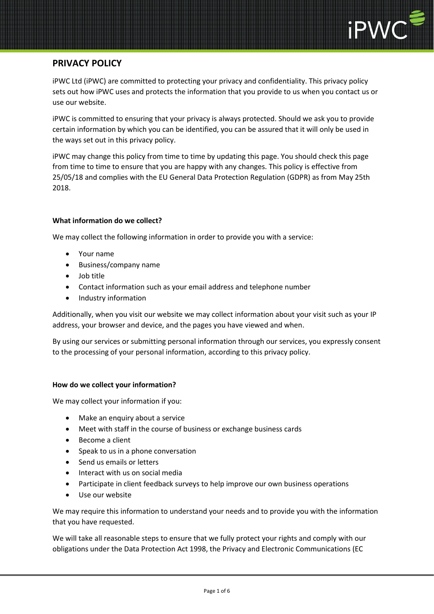

# **PRIVACY POLICY**

iPWC Ltd (iPWC) are committed to protecting your privacy and confidentiality. This privacy policy sets out how iPWC uses and protects the information that you provide to us when you contact us or use our website.

iPWC is committed to ensuring that your privacy is always protected. Should we ask you to provide certain information by which you can be identified, you can be assured that it will only be used in the ways set out in this privacy policy.

iPWC may change this policy from time to time by updating this page. You should check this page from time to time to ensure that you are happy with any changes. This policy is effective from 25/05/18 and complies with the EU General Data Protection Regulation (GDPR) as from May 25th 2018.

## **What information do we collect?**

We may collect the following information in order to provide you with a service:

- Your name
- Business/company name
- Job title
- Contact information such as your email address and telephone number
- Industry information

Additionally, when you visit our website we may collect information about your visit such as your IP address, your browser and device, and the pages you have viewed and when.

By using our services or submitting personal information through our services, you expressly consent to the processing of your personal information, according to this privacy policy.

## **How do we collect your information?**

We may collect your information if you:

- Make an enquiry about a service
- Meet with staff in the course of business or exchange business cards
- Become a client
- Speak to us in a phone conversation
- Send us emails or letters
- Interact with us on social media
- Participate in client feedback surveys to help improve our own business operations
- Use our website

We may require this information to understand your needs and to provide you with the information that you have requested.

We will take all reasonable steps to ensure that we fully protect your rights and comply with our obligations under the Data Protection Act 1998, the Privacy and Electronic Communications (EC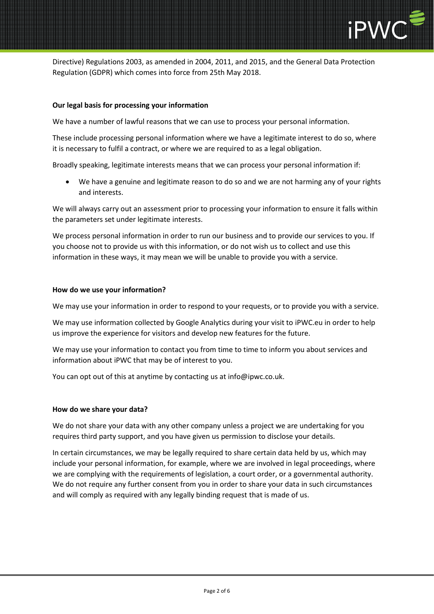

Directive) Regulations 2003, as amended in 2004, 2011, and 2015, and the General Data Protection Regulation (GDPR) which comes into force from 25th May 2018.

## **Our legal basis for processing your information**

We have a number of lawful reasons that we can use to process your personal information.

These include processing personal information where we have a legitimate interest to do so, where it is necessary to fulfil a contract, or where we are required to as a legal obligation.

Broadly speaking, legitimate interests means that we can process your personal information if:

• We have a genuine and legitimate reason to do so and we are not harming any of your rights and interests.

We will always carry out an assessment prior to processing your information to ensure it falls within the parameters set under legitimate interests.

We process personal information in order to run our business and to provide our services to you. If you choose not to provide us with this information, or do not wish us to collect and use this information in these ways, it may mean we will be unable to provide you with a service.

#### **How do we use your information?**

We may use your information in order to respond to your requests, or to provide you with a service.

We may use information collected by Google Analytics during your visit to iPWC.eu in order to help us improve the experience for visitors and develop new features for the future.

We may use your information to contact you from time to time to inform you about services and information about iPWC that may be of interest to you.

You can opt out of this at anytime by contacting us at info@ipwc.co.uk.

#### **How do we share your data?**

We do not share your data with any other company unless a project we are undertaking for you requires third party support, and you have given us permission to disclose your details.

In certain circumstances, we may be legally required to share certain data held by us, which may include your personal information, for example, where we are involved in legal proceedings, where we are complying with the requirements of legislation, a court order, or a governmental authority. We do not require any further consent from you in order to share your data in such circumstances and will comply as required with any legally binding request that is made of us.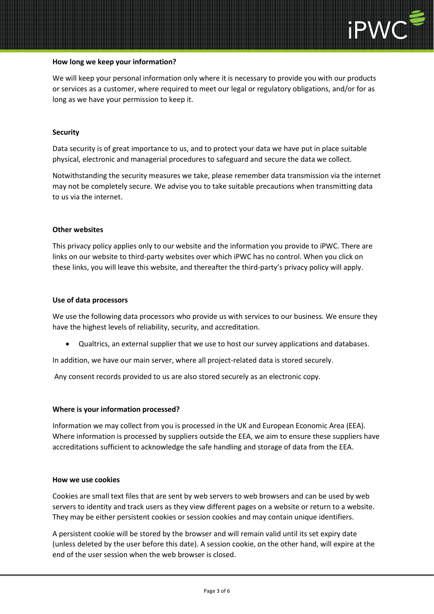

#### **How long we keep your information?**

We will keep your personal information only where it is necessary to provide you with our products or services as a customer, where required to meet our legal or regulatory obligations, and/or for as long as we have your permission to keep it.

## **Security**

Data security is of great importance to us, and to protect your data we have put in place suitable physical, electronic and managerial procedures to safeguard and secure the data we collect.

Notwithstanding the security measures we take, please remember data transmission via the internet may not be completely secure. We advise you to take suitable precautions when transmitting data to us via the internet.

#### **Other websites**

This privacy policy applies only to our website and the information you provide to iPWC. There are links on our website to third-party websites over which iPWC has no control. When you click on these links, you will leave this website, and thereafter the third-party's privacy policy will apply.

#### **Use of data processors**

We use the following data processors who provide us with services to our business. We ensure they have the highest levels of reliability, security, and accreditation.

• Qualtrics, an external supplier that we use to host our survey applications and databases.

In addition, we have our main server, where all project-related data is stored securely.

Any consent records provided to us are also stored securely as an electronic copy.

#### **Where is your information processed?**

Information we may collect from you is processed in the UK and European Economic Area (EEA). Where information is processed by suppliers outside the EEA, we aim to ensure these suppliers have accreditations sufficient to acknowledge the safe handling and storage of data from the EEA.

#### **How we use cookies**

Cookies are small text files that are sent by web servers to web browsers and can be used by web servers to identity and track users as they view different pages on a website or return to a website. They may be either persistent cookies or session cookies and may contain unique identifiers.

A persistent cookie will be stored by the browser and will remain valid until its set expiry date (unless deleted by the user before this date). A session cookie, on the other hand, will expire at the end of the user session when the web browser is closed.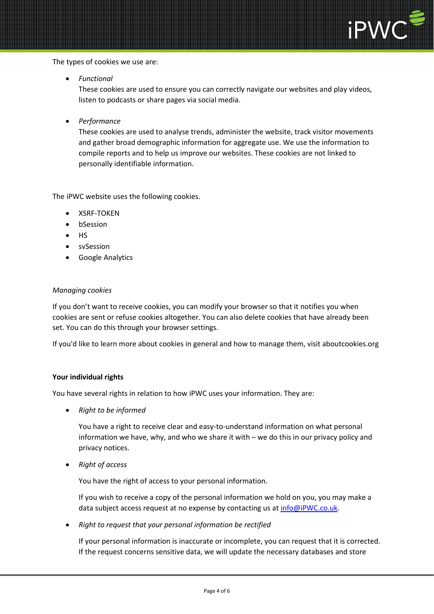

The types of cookies we use are:

• *Functional*

These cookies are used to ensure you can correctly navigate our websites and play videos, listen to podcasts or share pages via social media.

• *Performance*

These cookies are used to analyse trends, administer the website, track visitor movements and gather broad demographic information for aggregate use. We use the information to compile reports and to help us improve our websites. These cookies are not linked to personally identifiable information.

The iPWC website uses the following cookies.

- XSRF-TOKEN
- bSession
- HS
- svSession
- Google Analytics

## *Managing cookies*

If you don't want to receive cookies, you can modify your browser so that it notifies you when cookies are sent or refuse cookies altogether. You can also delete cookies that have already been set. You can do this through your browser settings.

If you'd like to learn more about cookies in general and how to manage them, visit aboutcookies.org

#### **Your individual rights**

You have several rights in relation to how iPWC uses your information. They are:

• *Right to be informed*

You have a right to receive clear and easy-to-understand information on what personal information we have, why, and who we share it with – we do this in our privacy policy and privacy notices.

• *Right of access*

You have the right of access to your personal information.

If you wish to receive a copy of the personal information we hold on you, you may make a data subject access request at no expense by contacting us at [info@iPWC.co.uk.](mailto:info@iPWC.co.uk)

• *Right to request that your personal information be rectified*

If your personal information is inaccurate or incomplete, you can request that it is corrected. If the request concerns sensitive data, we will update the necessary databases and store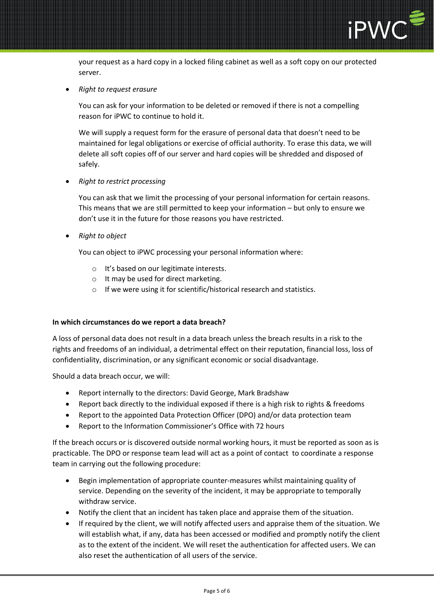

your request as a hard copy in a locked filing cabinet as well as a soft copy on our protected server.

• *Right to request erasure*

You can ask for your information to be deleted or removed if there is not a compelling reason for iPWC to continue to hold it.

We will supply a request form for the erasure of personal data that doesn't need to be maintained for legal obligations or exercise of official authority. To erase this data, we will delete all soft copies off of our server and hard copies will be shredded and disposed of safely.

• *Right to restrict processing*

You can ask that we limit the processing of your personal information for certain reasons. This means that we are still permitted to keep your information – but only to ensure we don't use it in the future for those reasons you have restricted.

• *Right to object*

You can object to iPWC processing your personal information where:

- o It's based on our legitimate interests.
- o It may be used for direct marketing.
- o If we were using it for scientific/historical research and statistics.

#### **In which circumstances do we report a data breach?**

A loss of personal data does not result in a data breach unless the breach results in a risk to the rights and freedoms of an individual, a detrimental effect on their reputation, financial loss, loss of confidentiality, discrimination, or any significant economic or social disadvantage.

Should a data breach occur, we will:

- Report internally to the directors: David George, Mark Bradshaw
- Report back directly to the individual exposed if there is a high risk to rights & freedoms
- Report to the appointed Data Protection Officer (DPO) and/or data protection team
- Report to the Information Commissioner's Office with 72 hours

If the breach occurs or is discovered outside normal working hours, it must be reported as soon as is practicable. The DPO or response team lead will act as a point of contact to coordinate a response team in carrying out the following procedure:

- Begin implementation of appropriate counter-measures whilst maintaining quality of service. Depending on the severity of the incident, it may be appropriate to temporally withdraw service.
- Notify the client that an incident has taken place and appraise them of the situation.
- If required by the client, we will notify affected users and appraise them of the situation. We will establish what, if any, data has been accessed or modified and promptly notify the client as to the extent of the incident. We will reset the authentication for affected users. We can also reset the authentication of all users of the service.